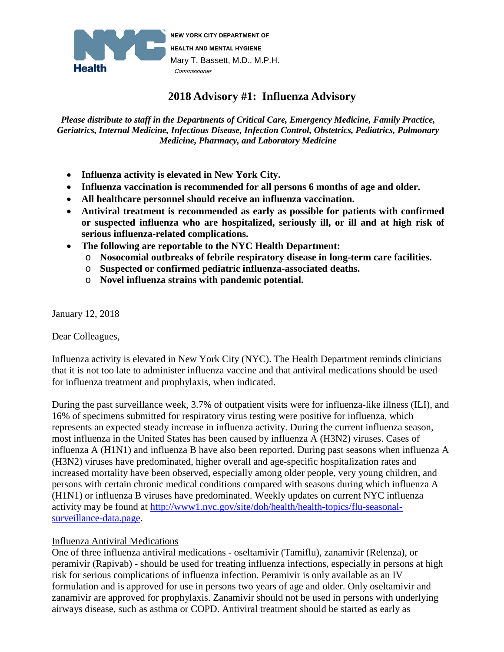

# **2018 Advisory #1: Influenza Advisory**

*Please distribute to staff in the Departments of Critical Care, Emergency Medicine, Family Practice, Geriatrics, Internal Medicine, Infectious Disease, Infection Control, Obstetrics, Pediatrics, Pulmonary Medicine, Pharmacy, and Laboratory Medicine*

- **Influenza activity is elevated in New York City.**
- **Influenza vaccination is recommended for all persons 6 months of age and older.**
- **All healthcare personnel should receive an influenza vaccination.**
- **Antiviral treatment is recommended as early as possible for patients with confirmed or suspected influenza who are hospitalized, seriously ill, or ill and at high risk of serious influenza-related complications.**
- **The following are reportable to the NYC Health Department:**
	- o **Nosocomial outbreaks of febrile respiratory disease in long-term care facilities.**
	- o **Suspected or confirmed pediatric influenza-associated deaths.**
	- o **Novel influenza strains with pandemic potential.**

January 12, 2018

Dear Colleagues,

Influenza activity is elevated in New York City (NYC). The Health Department reminds clinicians that it is not too late to administer influenza vaccine and that antiviral medications should be used for influenza treatment and prophylaxis, when indicated.

During the past surveillance week, 3.7% of outpatient visits were for influenza-like illness (ILI), and 16% of specimens submitted for respiratory virus testing were positive for influenza, which represents an expected steady increase in influenza activity. During the current influenza season, most influenza in the United States has been caused by influenza A (H3N2) viruses. Cases of influenza A (H1N1) and influenza B have also been reported. During past seasons when influenza A (H3N2) viruses have predominated, higher overall and age-specific hospitalization rates and increased mortality have been observed, especially among older people, very young children, and persons with certain chronic medical conditions compared with seasons during which influenza A (H1N1) or influenza B viruses have predominated. Weekly updates on current NYC influenza activity may be found at [http://www1.nyc.gov/site/doh/health/health-topics/flu-seasonal](http://www1.nyc.gov/site/doh/health/health-topics/flu-seasonal-surveillance-data.page)[surveillance-data.page.](http://www1.nyc.gov/site/doh/health/health-topics/flu-seasonal-surveillance-data.page)

# Influenza Antiviral Medications

One of three influenza antiviral medications - oseltamivir (Tamiflu), zanamivir (Relenza), or peramivir (Rapivab) - should be used for treating influenza infections, especially in persons at high risk for serious complications of influenza infection. Peramivir is only available as an IV formulation and is approved for use in persons two years of age and older. Only oseltamivir and zanamivir are approved for prophylaxis. Zanamivir should not be used in persons with underlying airways disease, such as asthma or COPD. Antiviral treatment should be started as early as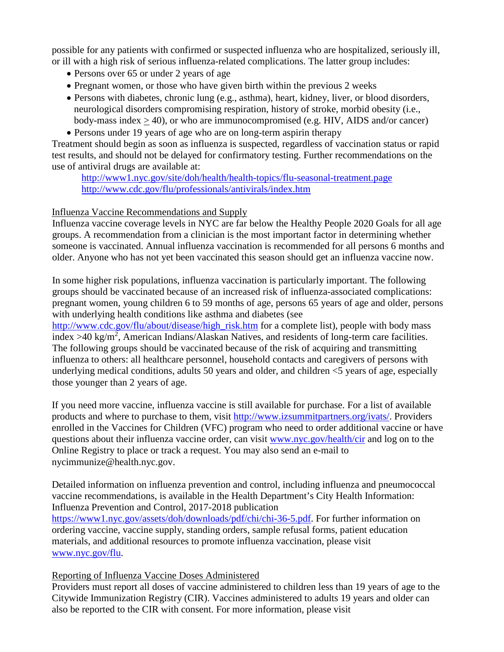possible for any patients with confirmed or suspected influenza who are hospitalized, seriously ill, or ill with a high risk of serious influenza-related complications. The latter group includes:

- Persons over 65 or under 2 years of age
- Pregnant women, or those who have given birth within the previous 2 weeks
- Persons with diabetes, chronic lung (e.g., asthma), heart, kidney, liver, or blood disorders, neurological disorders compromising respiration, history of stroke, morbid obesity (i.e., body-mass index > 40), or who are immunocompromised (e.g. HIV, AIDS and/or cancer)
- Persons under 19 years of age who are on long-term aspirin therapy

Treatment should begin as soon as influenza is suspected, regardless of vaccination status or rapid test results, and should not be delayed for confirmatory testing. Further recommendations on the use of antiviral drugs are available at:

<http://www1.nyc.gov/site/doh/health/health-topics/flu-seasonal-treatment.page> <http://www.cdc.gov/flu/professionals/antivirals/index.htm>

### Influenza Vaccine Recommendations and Supply

Influenza vaccine coverage levels in NYC are far below the Healthy People 2020 Goals for all age groups. A recommendation from a clinician is the most important factor in determining whether someone is vaccinated. Annual influenza vaccination is recommended for all persons 6 months and older. Anyone who has not yet been vaccinated this season should get an influenza vaccine now.

In some higher risk populations, influenza vaccination is particularly important. The following groups should be vaccinated because of an increased risk of influenza-associated complications: pregnant women, young children 6 to 59 months of age, persons 65 years of age and older, persons with underlying health conditions like asthma and diabetes (see

[http://www.cdc.gov/flu/about/disease/high\\_risk.htm](http://www.cdc.gov/flu/about/disease/high_risk.htm) for a complete list), people with body mass index >40 kg/m<sup>2</sup>, American Indians/Alaskan Natives, and residents of long-term care facilities. The following groups should be vaccinated because of the risk of acquiring and transmitting influenza to others: all healthcare personnel, household contacts and caregivers of persons with underlying medical conditions, adults 50 years and older, and children  $\leq$ 5 years of age, especially those younger than 2 years of age.

If you need more vaccine, influenza vaccine is still available for purchase. For a list of available products and where to purchase to them, visit [http://www.izsummitpartners.org/ivats/.](http://www.izsummitpartners.org/ivats/) Providers enrolled in the Vaccines for Children (VFC) program who need to order additional vaccine or have questions about their influenza vaccine order, can visit [www.nyc.gov/health/cir](http://www.nyc.gov/health/cir) and log on to the Online Registry to place or track a request. You may also send an e-mail to nycimmunize@health.nyc.gov.

Detailed information on influenza prevention and control, including influenza and pneumococcal vaccine recommendations, is available in the Health Department's City Health Information: Influenza Prevention and Control, 2017-2018 publication

[https://www1.nyc.gov/assets/doh/downloads/pdf/chi/chi-36-5.pdf.](https://www1.nyc.gov/assets/doh/downloads/pdf/chi/chi-36-5.pdf) For further information on ordering vaccine, vaccine supply, standing orders, sample refusal forms, patient education materials, and additional resources to promote influenza vaccination, please visit [www.nyc.gov/flu.](http://www.nyc.gov/flu)

# Reporting of Influenza Vaccine Doses Administered

Providers must report all doses of vaccine administered to children less than 19 years of age to the Citywide Immunization Registry (CIR). Vaccines administered to adults 19 years and older can also be reported to the CIR with consent. For more information, please visit